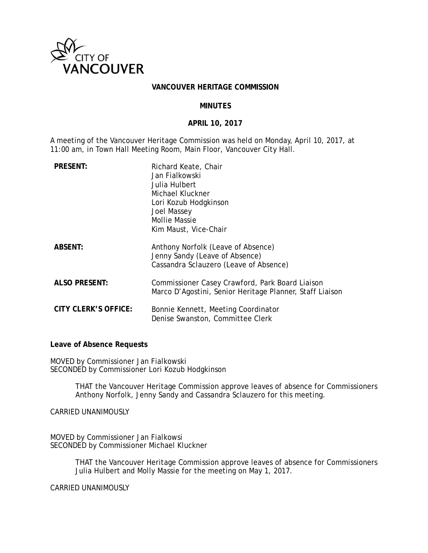

#### **VANCOUVER HERITAGE COMMISSION**

#### **MINUTES**

#### **APRIL 10, 2017**

A meeting of the Vancouver Heritage Commission was held on Monday, April 10, 2017, at 11:00 am, in Town Hall Meeting Room, Main Floor, Vancouver City Hall.

| <b>PRESENT:</b>      | Richard Keate, Chair<br>Jan Fialkowski<br>Julia Hulbert<br>Michael Kluckner<br>Lori Kozub Hodgkinson<br>Joel Massey<br>Mollie Massie<br>Kim Maust, Vice-Chair |
|----------------------|---------------------------------------------------------------------------------------------------------------------------------------------------------------|
| <b>ABSENT:</b>       | Anthony Norfolk (Leave of Absence)<br>Jenny Sandy (Leave of Absence)<br>Cassandra Sclauzero (Leave of Absence)                                                |
| <b>ALSO PRESENT:</b> | Commissioner Casey Crawford, Park Board Liaison<br>Marco D'Agostini, Senior Heritage Planner, Staff Liaison                                                   |
| CITY CLERK'S OFFICE: | Bonnie Kennett, Meeting Coordinator<br>Denise Swanston, Committee Clerk                                                                                       |

**Leave of Absence Requests** 

MOVED by Commissioner Jan Fialkowski SECONDED by Commissioner Lori Kozub Hodgkinson

> THAT the Vancouver Heritage Commission approve leaves of absence for Commissioners Anthony Norfolk, Jenny Sandy and Cassandra Sclauzero for this meeting.

CARRIED UNANIMOUSLY

MOVED by Commissioner Jan Fialkowsi SECONDED by Commissioner Michael Kluckner

> THAT the Vancouver Heritage Commission approve leaves of absence for Commissioners Julia Hulbert and Molly Massie for the meeting on May 1, 2017.

CARRIED UNANIMOUSLY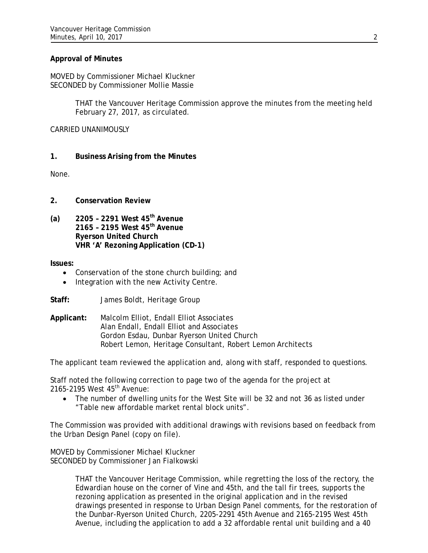## **Approval of Minutes**

MOVED by Commissioner Michael Kluckner SECONDED by Commissioner Mollie Massie

> THAT the Vancouver Heritage Commission approve the minutes from the meeting held February 27, 2017, as circulated.

### CARRIED UNANIMOUSLY

# **1. Business Arising from the Minutes**

None.

- **2. Conservation Review**
- **(a) 2205 2291 West 45th Avenue 2165 – 2195 West 45th Avenue Ryerson United Church VHR 'A' Rezoning Application (CD-1)**

**Issues:** 

- Conservation of the stone church building; and
- Integration with the new Activity Centre.
- **Staff:** James Boldt, Heritage Group
- **Applicant:** Malcolm Elliot, Endall Elliot Associates Alan Endall, Endall Elliot and Associates Gordon Esdau, Dunbar Ryerson United Church Robert Lemon, Heritage Consultant, Robert Lemon Architects

The applicant team reviewed the application and, along with staff, responded to questions.

Staff noted the following correction to page two of the agenda for the project at 2165-2195 West 45<sup>th</sup> Avenue:

 The number of dwelling units for the West Site will be 32 and not 36 as listed under "Table new affordable market rental block units".

The Commission was provided with additional drawings with revisions based on feedback from the Urban Design Panel (copy on file).

MOVED by Commissioner Michael Kluckner SECONDED by Commissioner Jan Fialkowski

> THAT the Vancouver Heritage Commission, while regretting the loss of the rectory, the Edwardian house on the corner of Vine and 45th, and the tall fir trees, supports the rezoning application as presented in the original application and in the revised drawings presented in response to Urban Design Panel comments, for the restoration of the Dunbar-Ryerson United Church, 2205-2291 45th Avenue and 2165-2195 West 45th Avenue, including the application to add a 32 affordable rental unit building and a 40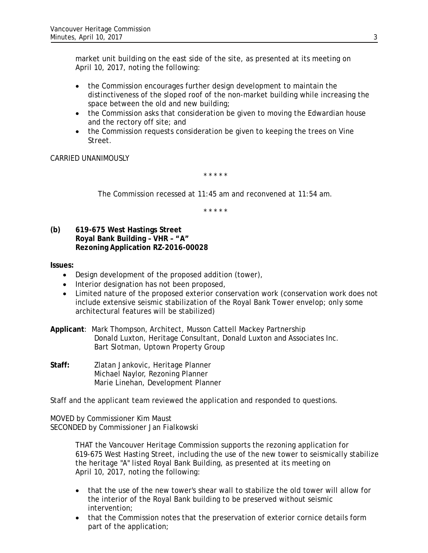market unit building on the east side of the site, as presented at its meeting on April 10, 2017, noting the following:

- the Commission encourages further design development to maintain the distinctiveness of the sloped roof of the non-market building while increasing the space between the old and new building;
- the Commission asks that consideration be given to moving the Edwardian house and the rectory off site; and
- the Commission requests consideration be given to keeping the trees on Vine Street.

CARRIED UNANIMOUSLY

*\* \* \* \* \** 

*The Commission recessed at 11:45 am and reconvened at 11:54 am.* 

*\* \* \* \* \** 

**(b) 619-675 West Hastings Street Royal Bank Building – VHR – "A" Rezoning Application RZ-2016-00028** 

**Issues:**

- Design development of the proposed addition (tower),
- Interior designation has not been proposed,
- Limited nature of the proposed exterior conservation work (conservation work does not include extensive seismic stabilization of the Royal Bank Tower envelop; only some architectural features will be stabilized)

**Applicant**: Mark Thompson, Architect, Musson Cattell Mackey Partnership Donald Luxton, Heritage Consultant, Donald Luxton and Associates Inc. Bart Slotman, Uptown Property Group

**Staff:** Zlatan Jankovic, Heritage Planner Michael Naylor, Rezoning Planner Marie Linehan, Development Planner

Staff and the applicant team reviewed the application and responded to questions.

MOVED by Commissioner Kim Maust SECONDED by Commissioner Jan Fialkowski

> THAT the Vancouver Heritage Commission supports the rezoning application for 619-675 West Hasting Street, including the use of the new tower to seismically stabilize the heritage "A" listed Royal Bank Building, as presented at its meeting on April 10, 2017, noting the following:

- that the use of the new tower's shear wall to stabilize the old tower will allow for the interior of the Royal Bank building to be preserved without seismic intervention;
- that the Commission notes that the preservation of exterior cornice details form part of the application;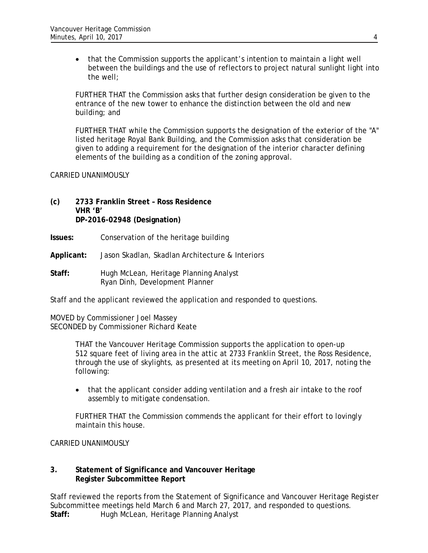that the Commission supports the applicant's intention to maintain a light well between the buildings and the use of reflectors to project natural sunlight light into the well;

FURTHER THAT the Commission asks that further design consideration be given to the entrance of the new tower to enhance the distinction between the old and new building; and

FURTHER THAT while the Commission supports the designation of the exterior of the "A" listed heritage Royal Bank Building, and the Commission asks that consideration be given to adding a requirement for the designation of the interior character defining elements of the building as a condition of the zoning approval.

## CARRIED UNANIMOUSLY

# **(c) 2733 Franklin Street – Ross Residence VHR 'B' DP-2016-02948 (Designation)**

- **Issues:** Conservation of the heritage building
- **Applicant:** Jason Skadlan, Skadlan Architecture & Interiors
- Staff: Hugh McLean, Heritage Planning Analyst Ryan Dinh, Development Planner

Staff and the applicant reviewed the application and responded to questions.

MOVED by Commissioner Joel Massey SECONDED by Commissioner Richard Keate

> THAT the Vancouver Heritage Commission supports the application to open-up 512 square feet of living area in the attic at 2733 Franklin Street, the Ross Residence, through the use of skylights, as presented at its meeting on April 10, 2017, noting the following:

 that the applicant consider adding ventilation and a fresh air intake to the roof assembly to mitigate condensation.

FURTHER THAT the Commission commends the applicant for their effort to lovingly maintain this house.

CARRIED UNANIMOUSLY

# **3. Statement of Significance and Vancouver Heritage Register Subcommittee Report**

Staff reviewed the reports from the Statement of Significance and Vancouver Heritage Register Subcommittee meetings held March 6 and March 27, 2017, and responded to questions. Staff: Hugh McLean, Heritage Planning Analyst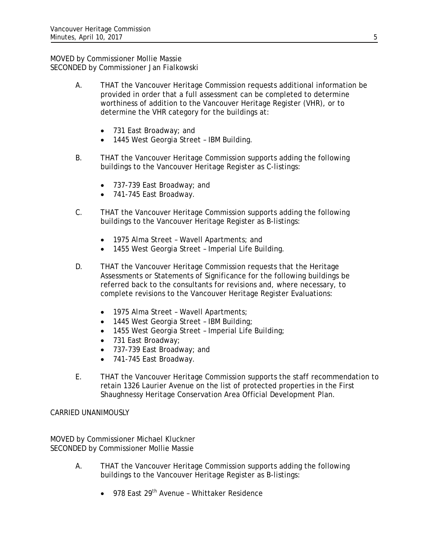MOVED by Commissioner Mollie Massie SECONDED by Commissioner Jan Fialkowski

- A. THAT the Vancouver Heritage Commission requests additional information be provided in order that a full assessment can be completed to determine worthiness of addition to the Vancouver Heritage Register (VHR), or to determine the VHR category for the buildings at:
	- 731 East Broadway; and
	- 1445 West Georgia Street IBM Building.
- B. THAT the Vancouver Heritage Commission supports adding the following buildings to the Vancouver Heritage Register as C-listings:
	- 737-739 East Broadway; and
	- 741-745 East Broadway.
- C. THAT the Vancouver Heritage Commission supports adding the following buildings to the Vancouver Heritage Register as B-listings:
	- 1975 Alma Street Wavell Apartments; and
	- 1455 West Georgia Street Imperial Life Building.
- D. THAT the Vancouver Heritage Commission requests that the Heritage Assessments or Statements of Significance for the following buildings be referred back to the consultants for revisions and, where necessary, to complete revisions to the Vancouver Heritage Register Evaluations:
	- 1975 Alma Street Wavell Apartments;
	- 1445 West Georgia Street IBM Building;
	- 1455 West Georgia Street Imperial Life Building;
	- 731 East Broadway;
	- 737-739 East Broadway; and
	- 741-745 East Broadway.
- E. THAT the Vancouver Heritage Commission supports the staff recommendation to retain 1326 Laurier Avenue on the list of protected properties in the First Shaughnessy Heritage Conservation Area Official Development Plan.

CARRIED UNANIMOUSLY

MOVED by Commissioner Michael Kluckner SECONDED by Commissioner Mollie Massie

- A. THAT the Vancouver Heritage Commission supports adding the following buildings to the Vancouver Heritage Register as B-listings:
	- 978 East 29<sup>th</sup> Avenue Whittaker Residence